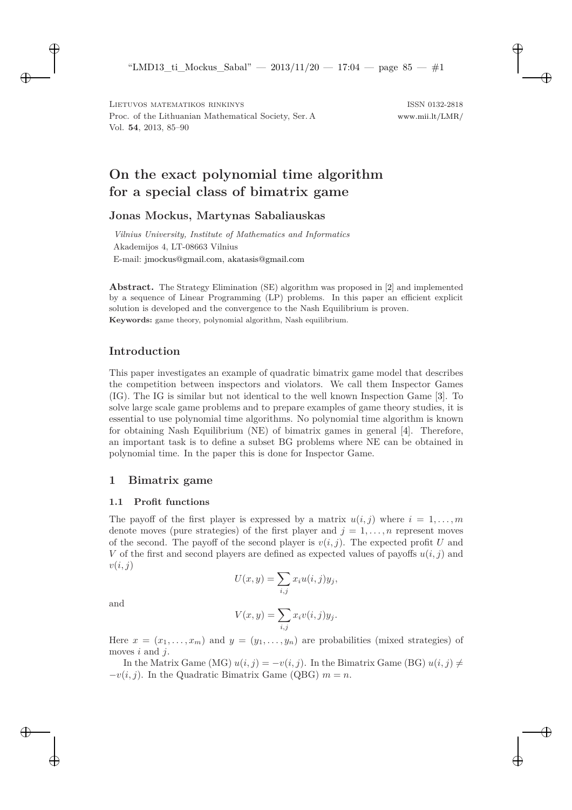# **On the exact polynomial time algorithm for a special class of bimatrix game**

# **Jonas Mockus, Martynas Sabaliauskas**

*Vilnius University, Institute of Mathematics and Informatics* Akademijos 4, LT-08663 Vilnius E-mail: [jmockus@gmail.com, akatasis@gmail.com](mailto:jmockus@gmail.com, akatasis@gmail.com)

**Abstract.** The Strategy Elimination (SE) algorithm was proposed in [\[2\]](#page-4-0) and implemented by a sequence of Linear Programming (LP) problems. In this paper an efficient explicit solution is developed and the convergence to the Nash Equilibrium is proven. **Keywords:** game theory, polynomial algorithm, Nash equilibrium.

# **Introduction**

This paper investigates an example of quadratic bimatrix game model that describes the competition between inspectors and violators. We call them Inspector Games (IG). The IG is similar but not identical to the well known Inspection Game [\[3\]](#page-4-1). To solve large scale game problems and to prepare examples of game theory studies, it is essential to use polynomial time algorithms. No polynomial time algorithm is known for obtaining Nash Equilibrium (NE) of bimatrix games in general [\[4\]](#page-4-2). Therefore, an important task is to define a subset BG problems where NE can be obtained in polynomial time. In the paper this is done for Inspector Game.

## **1 Bimatrix game**

### **1.1 Profit functions**

The payoff of the first player is expressed by a matrix  $u(i, j)$  where  $i = 1, \ldots, m$ denote moves (pure strategies) of the first player and  $j = 1, \ldots, n$  represent moves of the second. The payoff of the second player is  $v(i, j)$ . The expected profit U and V of the first and second players are defined as expected values of payoffs  $u(i, j)$  and  $v(i, j)$ 

$$
U(x,y) = \sum_{i,j} x_i u(i,j) y_j,
$$

and

$$
V(x,y) = \sum_{i,j} x_i v(i,j) y_j.
$$

Here  $x = (x_1, \ldots, x_m)$  and  $y = (y_1, \ldots, y_n)$  are probabilities (mixed strategies) of moves  $i$  and  $j$ .

In the Matrix Game (MG)  $u(i, j) = -v(i, j)$ . In the Bimatrix Game (BG)  $u(i, j) \neq j$  $-v(i, j)$ . In the Quadratic Bimatrix Game (QBG)  $m = n$ .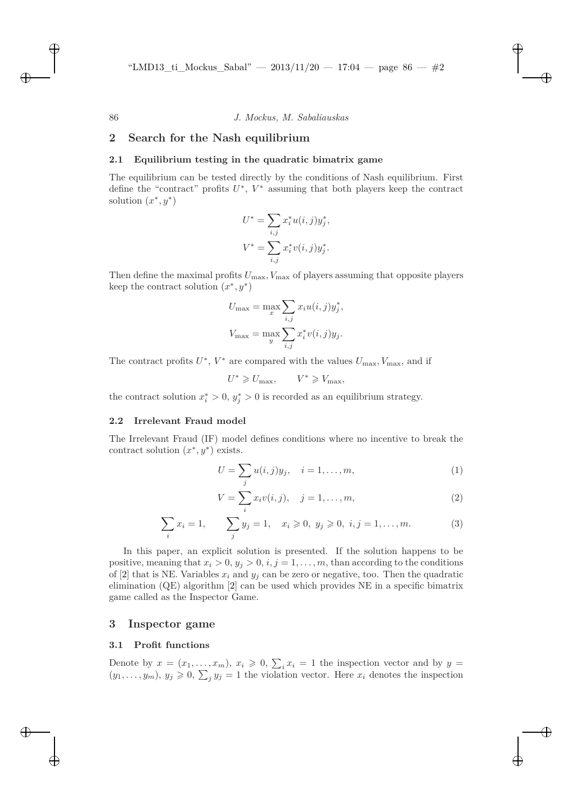### **2 Search for the Nash equilibrium**

#### **2.1 Equilibrium testing in the quadratic bimatrix game**

The equilibrium can be tested directly by the conditions of Nash equilibrium. First define the "contract" profits  $U^*$ ,  $V^*$  assuming that both players keep the contract solution  $(x^*, y^*)$ 

$$
U^* = \sum_{i,j} x_i^* u(i,j) y_j^*,
$$
  

$$
V^* = \sum_{i,j} x_i^* v(i,j) y_j^*.
$$

Then define the maximal profits  $U_{\text{max}}$ ,  $V_{\text{max}}$  of players assuming that opposite players keep the contract solution  $(x^*, y^*)$ 

$$
U_{\max} = \max_{x} \sum_{i,j} x_i u(i,j) y_j^*,
$$
  

$$
V_{\max} = \max_{y} \sum_{i,j} x_i^* v(i,j) y_j.
$$

The contract profits  $U^*$ ,  $V^*$  are compared with the values  $U_{\text{max}}$ ,  $V_{\text{max}}$ , and if

$$
U^* \geq U_{\text{max}}, \qquad V^* \geq V_{\text{max}},
$$

the contract solution  $x_i^* > 0$ ,  $y_j^* > 0$  is recorded as an equilibrium strategy.

#### **2.2 Irrelevant Fraud model**

The Irrelevant Fraud (IF) model defines conditions where no incentive to break the contract solution  $(x^*, y^*)$  exists.

<span id="page-1-0"></span>
$$
U = \sum_{j} u(i, j) y_j, \quad i = 1, \dots, m,
$$
 (1)

<span id="page-1-2"></span><span id="page-1-1"></span>
$$
V = \sum_{i} x_i v(i, j), \quad j = 1, \dots, m,
$$
 (2)

$$
\sum_{i} x_i = 1, \qquad \sum_{j} y_j = 1, \quad x_i \geqslant 0, \ y_j \geqslant 0, \ i, j = 1, \dots, m. \tag{3}
$$

In this paper, an explicit solution is presented. If the solution happens to be positive, meaning that  $x_i > 0$ ,  $y_j > 0$ ,  $i, j = 1, \ldots, m$ , than according to the conditions of [\[2\]](#page-4-0) that is NE. Variables  $x_i$  and  $y_j$  can be zero or negative, too. Then the quadratic elimination (QE) algorithm [\[2\]](#page-4-0) can be used which provides NE in a specific bimatrix game called as the Inspector Game.

#### **3 Inspector game**

#### **3.1 Profit functions**

Denote by  $x = (x_1, \ldots, x_m), x_i \geq 0, \sum_i x_i = 1$  the inspection vector and by  $y =$  $(y_1, \ldots, y_m)$ ,  $y_j \geq 0$ ,  $\sum_j y_j = 1$  the violation vector. Here  $x_i$  denotes the inspection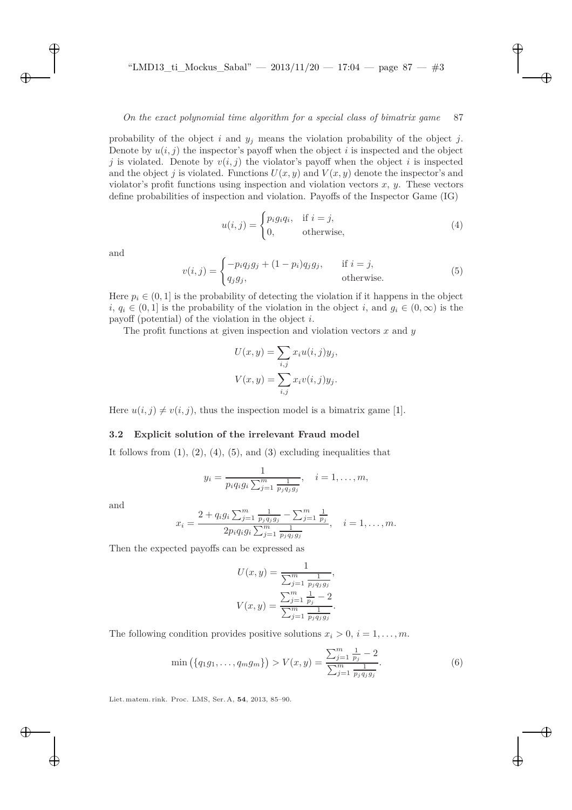probability of the object i and  $y_j$  means the violation probability of the object j. Denote by  $u(i, j)$  the inspector's payoff when the object i is inspected and the object j is violated. Denote by  $v(i, j)$  the violator's payoff when the object i is inspected and the object j is violated. Functions  $U(x, y)$  and  $V(x, y)$  denote the inspector's and violator's profit functions using inspection and violation vectors  $x, y$ . These vectors define probabilities of inspection and violation. Payoffs of the Inspector Game (IG)

<span id="page-2-0"></span>
$$
u(i,j) = \begin{cases} p_i g_i q_i, & \text{if } i = j, \\ 0, & \text{otherwise,} \end{cases}
$$
 (4)

<span id="page-2-1"></span>and

$$
v(i,j) = \begin{cases} -p_i q_j g_j + (1-p_i) q_j g_j, & \text{if } i = j, \\ q_j g_j, & \text{otherwise.} \end{cases}
$$
(5)

Here  $p_i \in (0,1]$  is the probability of detecting the violation if it happens in the object  $i, q_i \in (0, 1]$  is the probability of the violation in the object i, and  $q_i \in (0, \infty)$  is the payoff (potential) of the violation in the object  $i$ .

The profit functions at given inspection and violation vectors  $x$  and  $y$ 

$$
U(x, y) = \sum_{i,j} x_i u(i, j) y_j,
$$
  

$$
V(x, y) = \sum_{i,j} x_i v(i, j) y_j.
$$

Here  $u(i, j) \neq v(i, j)$ , thus the inspection model is a bimatrix game [\[1\]](#page-4-3).

#### **3.2 Explicit solution of the irrelevant Fraud model**

It follows from  $(1)$ ,  $(2)$ ,  $(4)$ ,  $(5)$ , and  $(3)$  excluding inequalities that

$$
y_i = \frac{1}{p_i q_i g_i \sum_{j=1}^m \frac{1}{p_j q_j g_j}}, \quad i = 1, \dots, m,
$$

and

$$
x_i = \frac{2 + q_i g_i \sum_{j=1}^m \frac{1}{p_j q_j g_j} - \sum_{j=1}^m \frac{1}{p_j}}{2 p_i q_i g_i \sum_{j=1}^m \frac{1}{p_j q_j g_j}}, \quad i = 1, \dots, m.
$$

Then the expected payoffs can be expressed as

$$
U(x,y) = \frac{1}{\sum_{j=1}^{m} \frac{1}{p_j q_j g_j}},
$$

$$
V(x,y) = \frac{\sum_{j=1}^{m} \frac{1}{p_j} - 2}{\sum_{j=1}^{m} \frac{1}{p_j q_j g_j}}.
$$

The following condition provides positive solutions  $x_i > 0$ ,  $i = 1, \ldots, m$ .

<span id="page-2-2"></span>
$$
\min\left(\{q_1g_1,\ldots,q_mg_m\}\right) > V(x,y) = \frac{\sum_{j=1}^m \frac{1}{p_j} - 2}{\sum_{j=1}^m \frac{1}{p_jq_jg_j}}.\tag{6}
$$

Liet. matem. rink. Proc. LMS, Ser. A, **54**, 2013, 85–90.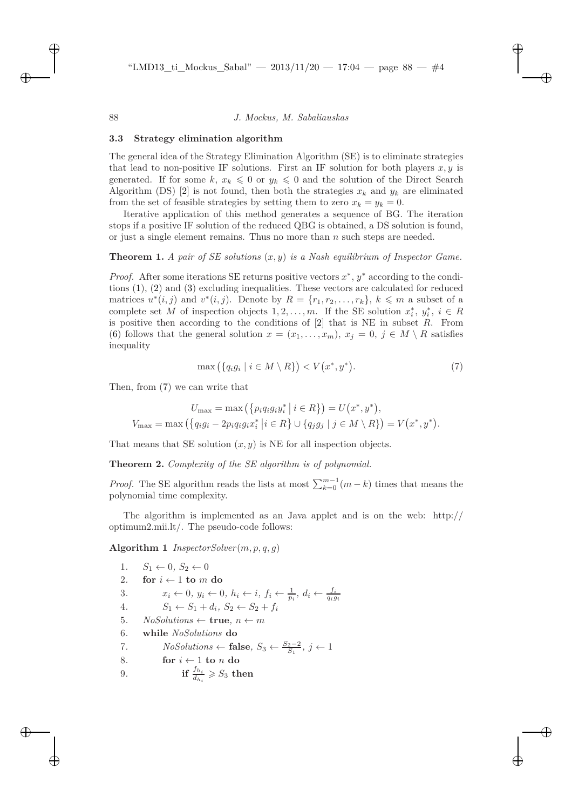#### **3.3 Strategy elimination algorithm**

The general idea of the Strategy Elimination Algorithm (SE) is to eliminate strategies that lead to non-positive IF solutions. First an IF solution for both players  $x, y$  is generated. If for some k,  $x_k \leq 0$  or  $y_k \leq 0$  and the solution of the Direct Search Algorithm (DS) [\[2\]](#page-4-0) is not found, then both the strategies  $x_k$  and  $y_k$  are eliminated from the set of feasible strategies by setting them to zero  $x_k = y_k = 0$ .

Iterative application of this method generates a sequence of BG. The iteration stops if a positive IF solution of the reduced QBG is obtained, a DS solution is found, or just a single element remains. Thus no more than  $n$  such steps are needed.

#### **Theorem 1.** *A pair of SE solutions* (x, y) *is a Nash equilibrium of Inspector Game.*

*Proof.* After some iterations SE returns positive vectors  $x^*$ ,  $y^*$  according to the conditions [\(1\)](#page-1-0), [\(2\)](#page-1-1) and [\(3\)](#page-1-2) excluding inequalities. These vectors are calculated for reduced matrices  $u^*(i, j)$  and  $v^*(i, j)$ . Denote by  $R = \{r_1, r_2, \ldots, r_k\}, k \leq m$  a subset of a complete set M of inspection objects  $1, 2, ..., m$ . If the SE solution  $x_i^*, y_i^*, i \in R$ is positive then according to the conditions of  $[2]$  that is NE in subset R. From [\(6\)](#page-2-2) follows that the general solution  $x = (x_1, \ldots, x_m)$ ,  $x_j = 0$ ,  $j \in M \setminus R$  satisfies inequality

<span id="page-3-0"></span>
$$
\max\left(\{q_i g_i \mid i \in M \setminus R\}\right) < V\left(x^*, y^*\right). \tag{7}
$$

Then, from [\(7\)](#page-3-0) we can write that

$$
U_{\max} = \max (\{p_i q_i g_i y_i^* | i \in R\}) = U(x^*, y^*),
$$
  

$$
V_{\max} = \max (\{q_i g_i - 2p_i q_i g_i x_i^* | i \in R\} \cup \{q_j g_j | j \in M \setminus R\}) = V(x^*, y^*).
$$

That means that SE solution  $(x, y)$  is NE for all inspection objects.

**Theorem 2.** *Complexity of the SE algorithm is of polynomial.*

*Proof.* The SE algorithm reads the lists at most  $\sum_{k=0}^{m-1} (m - k)$  times that means the polynomial time complexity.

The algorithm is implemented as an Java applet and is on the web: http:// optimum2.mii.lt/. The pseudo-code follows:

**Algorithm 1** InspectorSolver $(m, p, q, q)$ 

1. 
$$
S_1 \leftarrow 0
$$
,  $S_2 \leftarrow 0$   
\n2. **for**  $i \leftarrow 1$  **to**  $m$  **do**  
\n3.  $x_i \leftarrow 0$ ,  $y_i \leftarrow 0$ ,  $h_i \leftarrow i$ ,  $f_i \leftarrow \frac{1}{p_i}$ ,  $d_i \leftarrow \frac{f_i}{q_i g_i}$   
\n4.  $S_1 \leftarrow S_1 + d_i$ ,  $S_2 \leftarrow S_2 + f_i$   
\n5. *NoSolutions*  $\leftarrow$  **true**,  $n \leftarrow m$   
\n6. **while** *NoSolutions* **do**  
\n7. *NoSolutions*  $\leftarrow$  **false**,  $S_3 \leftarrow \frac{S_2-2}{S_1}$ ,  $j \leftarrow 1$   
\n8. **for**  $i \leftarrow 1$  **to**  $n$  **do**  
\n9. **if**  $\frac{f_{h_i}}{d_{h_i}} \geqslant S_3$  **then**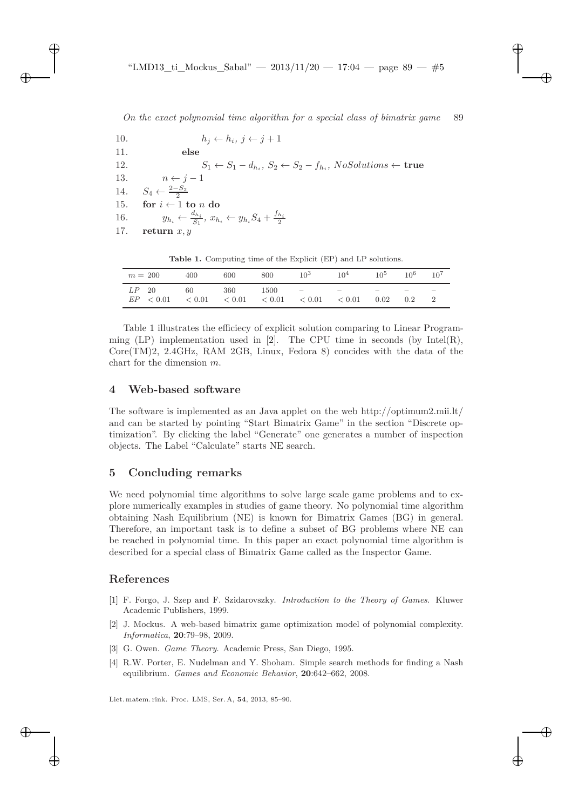| 10. | $h_i \leftarrow h_i, j \leftarrow j+1$                                                           |
|-----|--------------------------------------------------------------------------------------------------|
| 11. | else                                                                                             |
| 12. | $S_1 \leftarrow S_1 - d_{h_i}, S_2 \leftarrow S_2 - f_{h_i}, NoSolutions \leftarrow true$        |
|     | 13. $n \leftarrow j-1$                                                                           |
|     | 14. $S_4 \leftarrow \frac{2-S_2}{2}$                                                             |
|     | 15. for $i \leftarrow 1$ to n do                                                                 |
|     | 16. $y_{h_i} \leftarrow \frac{d_{h_i}}{S_1}, x_{h_i} \leftarrow y_{h_i} S_4 + \frac{f_{h_i}}{2}$ |
|     | 17. return $x, y$                                                                                |
|     |                                                                                                  |

<span id="page-4-4"></span>**Table 1.** Computing time of the Explicit (EP) and LP solutions.

| $m = 200$            | 400              | 600           | 800            | $10^3$                           | 10 <sup>4</sup>  | 10 <sup>5</sup>                  | $10^{6}$ | 10 <sup>7</sup>          |
|----------------------|------------------|---------------|----------------|----------------------------------|------------------|----------------------------------|----------|--------------------------|
| $LP$ 20<br>EP < 0.01 | 60<br>${}< 0.01$ | 360<br>< 0.01 | 1500<br>< 0.01 | $\sim$ 100 $-$ 100 $-$<br>< 0.01 | $\sim$<br>< 0.01 | $\overline{\phantom{a}}$<br>0.02 | 0.2      | $\overline{\phantom{a}}$ |

Table [1](#page-4-4) illustrates the efficiecy of explicit solution comparing to Linear Program-ming (LP) implementation used in [\[2\]](#page-4-0). The CPU time in seconds (by Intel(R), Core(TM)2, 2.4GHz, RAM 2GB, Linux, Fedora 8) concides with the data of the chart for the dimension m.

### **4 Web-based software**

The software is implemented as an Java applet on the web http://optimum2.mii.lt/ and can be started by pointing "Start Bimatrix Game" in the section "Discrete optimization". By clicking the label "Generate" one generates a number of inspection objects. The Label "Calculate" starts NE search.

#### **5 Concluding remarks**

We need polynomial time algorithms to solve large scale game problems and to explore numerically examples in studies of game theory. No polynomial time algorithm obtaining Nash Equilibrium (NE) is known for Bimatrix Games (BG) in general. Therefore, an important task is to define a subset of BG problems where NE can be reached in polynomial time. In this paper an exact polynomial time algorithm is described for a special class of Bimatrix Game called as the Inspector Game.

#### <span id="page-4-3"></span>**References**

- [1] F. Forgo, J. Szep and F. Szidarovszky. *Introduction to the Theory of Games*. Kluwer Academic Publishers, 1999.
- <span id="page-4-0"></span>[2] J. Mockus. A web-based bimatrix game optimization model of polynomial complexity. *Informatica*, **20**:79–98, 2009.
- <span id="page-4-2"></span><span id="page-4-1"></span>[3] G. Owen. *Game Theory*. Academic Press, San Diego, 1995.
- [4] R.W. Porter, E. Nudelman and Y. Shoham. Simple search methods for finding a Nash equilibrium. *Games and Economic Behavior*, **20**:642–662, 2008.